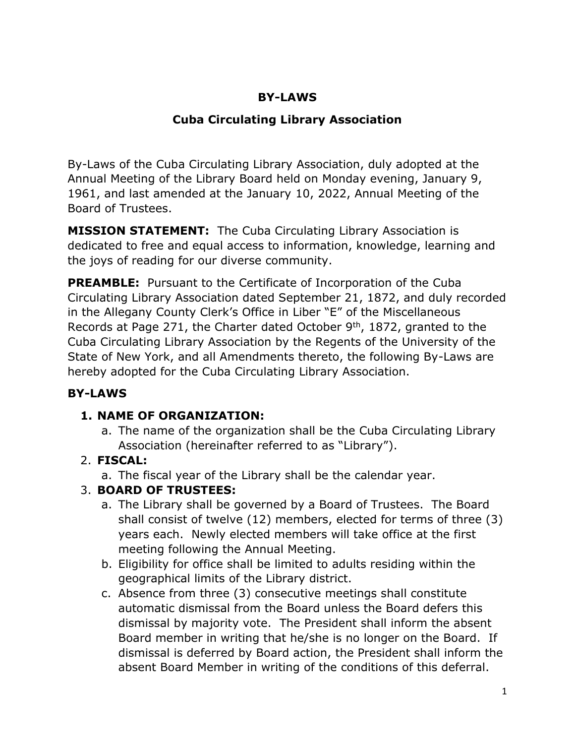## **BY-LAWS**

## **Cuba Circulating Library Association**

By-Laws of the Cuba Circulating Library Association, duly adopted at the Annual Meeting of the Library Board held on Monday evening, January 9, 1961, and last amended at the January 10, 2022, Annual Meeting of the Board of Trustees.

**MISSION STATEMENT:** The Cuba Circulating Library Association is dedicated to free and equal access to information, knowledge, learning and the joys of reading for our diverse community.

**PREAMBLE:** Pursuant to the Certificate of Incorporation of the Cuba Circulating Library Association dated September 21, 1872, and duly recorded in the Allegany County Clerk's Office in Liber "E" of the Miscellaneous Records at Page 271, the Charter dated October 9<sup>th</sup>, 1872, granted to the Cuba Circulating Library Association by the Regents of the University of the State of New York, and all Amendments thereto, the following By-Laws are hereby adopted for the Cuba Circulating Library Association.

## **BY-LAWS**

## **1. NAME OF ORGANIZATION:**

a. The name of the organization shall be the Cuba Circulating Library Association (hereinafter referred to as "Library").

## 2. **FISCAL:**

a. The fiscal year of the Library shall be the calendar year.

## 3. **BOARD OF TRUSTEES:**

- a. The Library shall be governed by a Board of Trustees. The Board shall consist of twelve (12) members, elected for terms of three (3) years each. Newly elected members will take office at the first meeting following the Annual Meeting.
- b. Eligibility for office shall be limited to adults residing within the geographical limits of the Library district.
- c. Absence from three (3) consecutive meetings shall constitute automatic dismissal from the Board unless the Board defers this dismissal by majority vote. The President shall inform the absent Board member in writing that he/she is no longer on the Board. If dismissal is deferred by Board action, the President shall inform the absent Board Member in writing of the conditions of this deferral.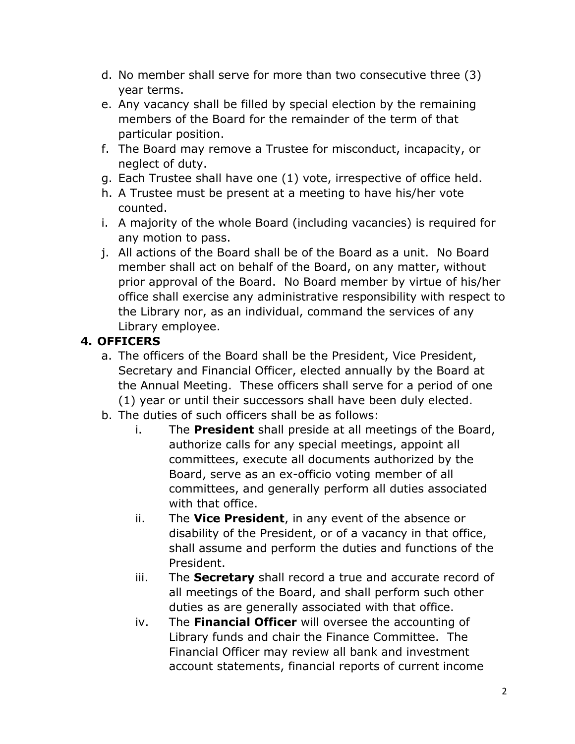- d. No member shall serve for more than two consecutive three (3) year terms.
- e. Any vacancy shall be filled by special election by the remaining members of the Board for the remainder of the term of that particular position.
- f. The Board may remove a Trustee for misconduct, incapacity, or neglect of duty.
- g. Each Trustee shall have one (1) vote, irrespective of office held.
- h. A Trustee must be present at a meeting to have his/her vote counted.
- i. A majority of the whole Board (including vacancies) is required for any motion to pass.
- j. All actions of the Board shall be of the Board as a unit. No Board member shall act on behalf of the Board, on any matter, without prior approval of the Board. No Board member by virtue of his/her office shall exercise any administrative responsibility with respect to the Library nor, as an individual, command the services of any Library employee.

# **4. OFFICERS**

- a. The officers of the Board shall be the President, Vice President, Secretary and Financial Officer, elected annually by the Board at the Annual Meeting. These officers shall serve for a period of one (1) year or until their successors shall have been duly elected.
- b. The duties of such officers shall be as follows:
	- i. The **President** shall preside at all meetings of the Board, authorize calls for any special meetings, appoint all committees, execute all documents authorized by the Board, serve as an ex-officio voting member of all committees, and generally perform all duties associated with that office.
	- ii. The **Vice President**, in any event of the absence or disability of the President, or of a vacancy in that office, shall assume and perform the duties and functions of the President.
	- iii. The **Secretary** shall record a true and accurate record of all meetings of the Board, and shall perform such other duties as are generally associated with that office.
	- iv. The **Financial Officer** will oversee the accounting of Library funds and chair the Finance Committee. The Financial Officer may review all bank and investment account statements, financial reports of current income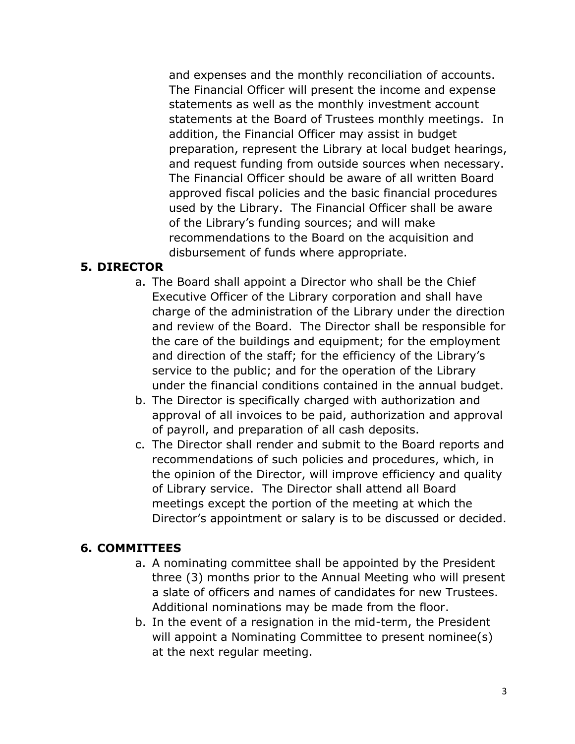and expenses and the monthly reconciliation of accounts. The Financial Officer will present the income and expense statements as well as the monthly investment account statements at the Board of Trustees monthly meetings. In addition, the Financial Officer may assist in budget preparation, represent the Library at local budget hearings, and request funding from outside sources when necessary. The Financial Officer should be aware of all written Board approved fiscal policies and the basic financial procedures used by the Library. The Financial Officer shall be aware of the Library's funding sources; and will make recommendations to the Board on the acquisition and disbursement of funds where appropriate.

## **5. DIRECTOR**

- a. The Board shall appoint a Director who shall be the Chief Executive Officer of the Library corporation and shall have charge of the administration of the Library under the direction and review of the Board. The Director shall be responsible for the care of the buildings and equipment; for the employment and direction of the staff; for the efficiency of the Library's service to the public; and for the operation of the Library under the financial conditions contained in the annual budget.
- b. The Director is specifically charged with authorization and approval of all invoices to be paid, authorization and approval of payroll, and preparation of all cash deposits.
- c. The Director shall render and submit to the Board reports and recommendations of such policies and procedures, which, in the opinion of the Director, will improve efficiency and quality of Library service. The Director shall attend all Board meetings except the portion of the meeting at which the Director's appointment or salary is to be discussed or decided.

### **6. COMMITTEES**

- a. A nominating committee shall be appointed by the President three (3) months prior to the Annual Meeting who will present a slate of officers and names of candidates for new Trustees. Additional nominations may be made from the floor.
- b. In the event of a resignation in the mid-term, the President will appoint a Nominating Committee to present nominee(s) at the next regular meeting.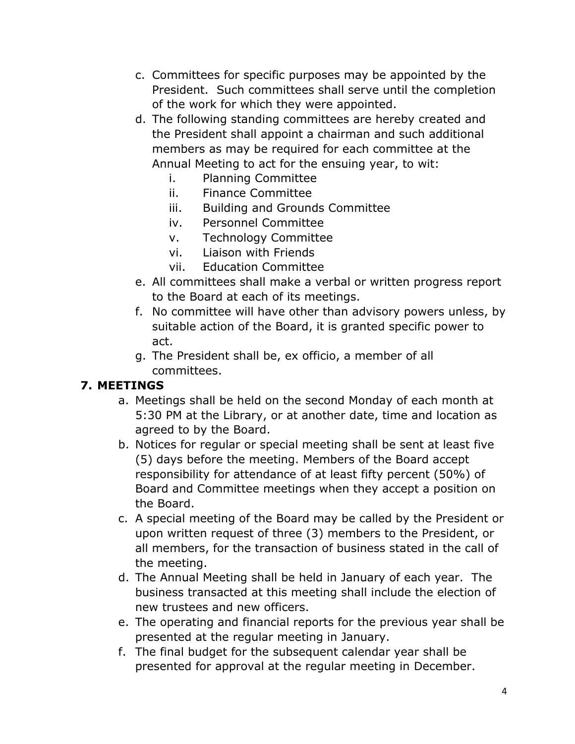- c. Committees for specific purposes may be appointed by the President. Such committees shall serve until the completion of the work for which they were appointed.
- d. The following standing committees are hereby created and the President shall appoint a chairman and such additional members as may be required for each committee at the Annual Meeting to act for the ensuing year, to wit:
	- i. Planning Committee
	- ii. Finance Committee
	- iii. Building and Grounds Committee
	- iv. Personnel Committee
	- v. Technology Committee
	- vi. Liaison with Friends
	- vii. Education Committee
- e. All committees shall make a verbal or written progress report to the Board at each of its meetings.
- f. No committee will have other than advisory powers unless, by suitable action of the Board, it is granted specific power to act.
- g. The President shall be, ex officio, a member of all committees.

### **7. MEETINGS**

- a. Meetings shall be held on the second Monday of each month at 5:30 PM at the Library, or at another date, time and location as agreed to by the Board.
- b. Notices for regular or special meeting shall be sent at least five (5) days before the meeting. Members of the Board accept responsibility for attendance of at least fifty percent (50%) of Board and Committee meetings when they accept a position on the Board.
- c. A special meeting of the Board may be called by the President or upon written request of three (3) members to the President, or all members, for the transaction of business stated in the call of the meeting.
- d. The Annual Meeting shall be held in January of each year. The business transacted at this meeting shall include the election of new trustees and new officers.
- e. The operating and financial reports for the previous year shall be presented at the regular meeting in January.
- f. The final budget for the subsequent calendar year shall be presented for approval at the regular meeting in December.